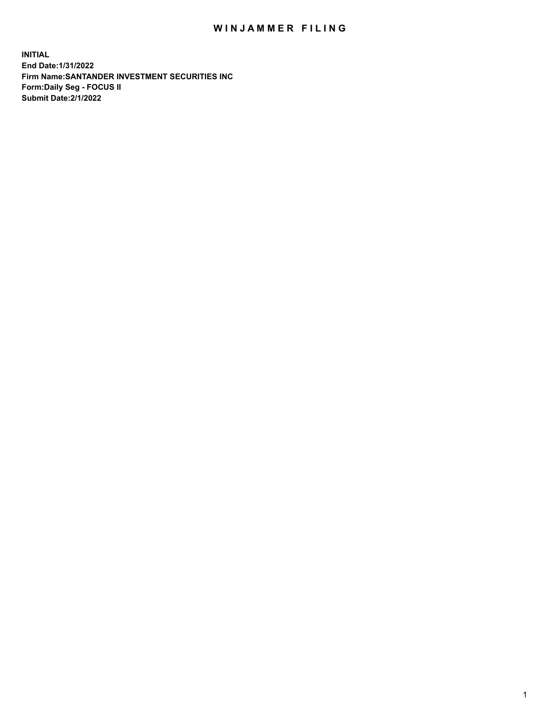## WIN JAMMER FILING

**INITIAL End Date:1/31/2022 Firm Name:SANTANDER INVESTMENT SECURITIES INC Form:Daily Seg - FOCUS II Submit Date:2/1/2022**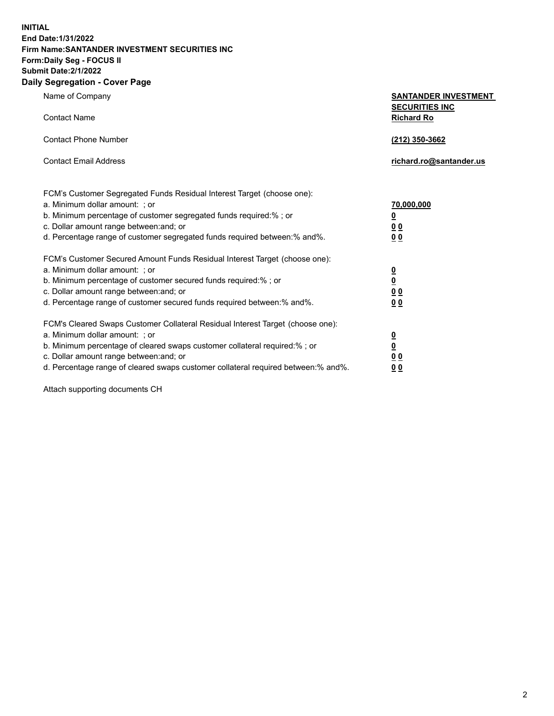**INITIAL End Date:1/31/2022 Firm Name:SANTANDER INVESTMENT SECURITIES INC Form:Daily Seg - FOCUS II Submit Date:2/1/2022 Daily Segregation - Cover Page**

| Name of Company                                                                   | <b>SANTANDER INVESTMENT</b>                |
|-----------------------------------------------------------------------------------|--------------------------------------------|
| <b>Contact Name</b>                                                               | <b>SECURITIES INC</b><br><b>Richard Ro</b> |
| <b>Contact Phone Number</b>                                                       | (212) 350-3662                             |
| <b>Contact Email Address</b>                                                      | richard.ro@santander.us                    |
| FCM's Customer Segregated Funds Residual Interest Target (choose one):            |                                            |
| a. Minimum dollar amount: ; or                                                    | 70,000,000                                 |
| b. Minimum percentage of customer segregated funds required:% ; or                | <u>0</u>                                   |
| c. Dollar amount range between: and; or                                           | 00                                         |
| d. Percentage range of customer segregated funds required between:% and%.         | 0 <sub>0</sub>                             |
| FCM's Customer Secured Amount Funds Residual Interest Target (choose one):        |                                            |
| a. Minimum dollar amount: ; or                                                    | $\frac{0}{0}$                              |
| b. Minimum percentage of customer secured funds required:%; or                    |                                            |
| c. Dollar amount range between: and; or                                           | 0 <sub>0</sub>                             |
| d. Percentage range of customer secured funds required between:% and%.            | 0 <sub>0</sub>                             |
| FCM's Cleared Swaps Customer Collateral Residual Interest Target (choose one):    |                                            |
| a. Minimum dollar amount: ; or                                                    | $\overline{\mathbf{0}}$                    |
| b. Minimum percentage of cleared swaps customer collateral required:% ; or        | <u>0</u>                                   |
| c. Dollar amount range between: and; or                                           | 0 <sub>0</sub>                             |
| d. Percentage range of cleared swaps customer collateral required between:% and%. | 0 <sub>0</sub>                             |

Attach supporting documents CH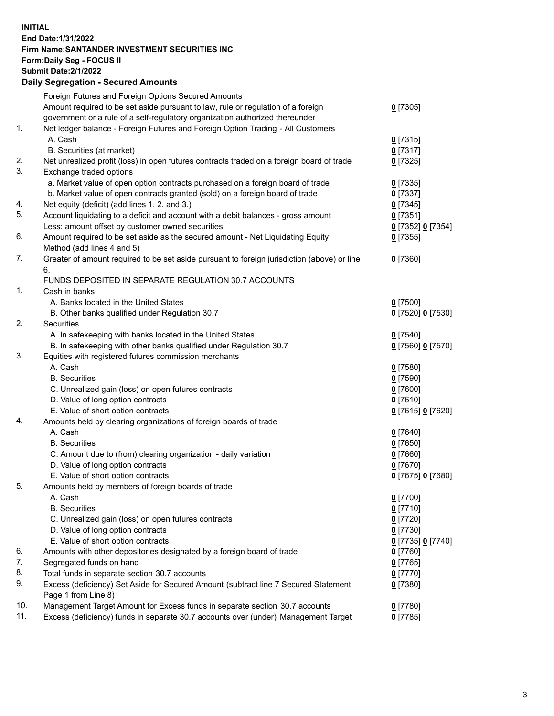**INITIAL End Date:1/31/2022 Firm Name:SANTANDER INVESTMENT SECURITIES INC Form:Daily Seg - FOCUS II Submit Date:2/1/2022 Daily Segregation - Secured Amounts** Foreign Futures and Foreign Options Secured Amounts Amount required to be set aside pursuant to law, rule or regulation of a foreign government or a rule of a self-regulatory organization authorized thereunder 1. Net ledger balance - Foreign Futures and Foreign Option Trading - All Customers A. Cash **0** [7315] B. Securities (at market) **0** [7317] 2. Net unrealized profit (loss) in open futures contracts traded on a foreign board of trade **0** [7325] 3. Exchange traded options a. Market value of open option contracts purchased on a foreign board of trade **0** [7335] b. Market value of open contracts granted (sold) on a foreign board of trade **0** [7337] 4. Net equity (deficit) (add lines 1. 2. and 3.) **0** [7345] 5. Account liquidating to a deficit and account with a debit balances - gross amount **0** [7351] Less: amount offset by customer owned securities **0** [7352] **0** [7354] 6. Amount required to be set aside as the secured amount - Net Liquidating Equity

Method (add lines 4 and 5) **0** [7355] 7. Greater of amount required to be set aside pursuant to foreign jurisdiction (above) or line 6. **0** [7360] FUNDS DEPOSITED IN SEPARATE REGULATION 30.7 ACCOUNTS 1. Cash in banks A. Banks located in the United States **0** [7500] B. Other banks qualified under Regulation 30.7 **0** [7520] **0** [7530] 2. Securities A. In safekeeping with banks located in the United States **0** [7540] B. In safekeeping with other banks qualified under Regulation 30.7 **0** [7560] **0** [7570] 3. Equities with registered futures commission merchants A. Cash **0** [7580] B. Securities **0** [7590] C. Unrealized gain (loss) on open futures contracts **0** [7600] D. Value of long option contracts **0** [7610] E. Value of short option contracts **0** [7615] **0** [7620] 4. Amounts held by clearing organizations of foreign boards of trade A. Cash **0** [7640] B. Securities **0** [7650] C. Amount due to (from) clearing organization - daily variation **0** [7660] D. Value of long option contracts **0** [7670] E. Value of short option contracts **0** [7675] **0** [7680] 5. Amounts held by members of foreign boards of trade A. Cash **0** [7700] B. Securities **0** [7710] C. Unrealized gain (loss) on open futures contracts **0** [7720] D. Value of long option contracts **0** [7730] E. Value of short option contracts **0** [7735] **0** [7740] 6. Amounts with other depositories designated by a foreign board of trade **0** [7760]

**0** [7305]

7. Segregated funds on hand **0** [7765] 8. Total funds in separate section 30.7 accounts **0** [7770] 9. Excess (deficiency) Set Aside for Secured Amount (subtract line 7 Secured Statement Page 1 from Line 8) **0** [7380]

10. Management Target Amount for Excess funds in separate section 30.7 accounts **0** [7780]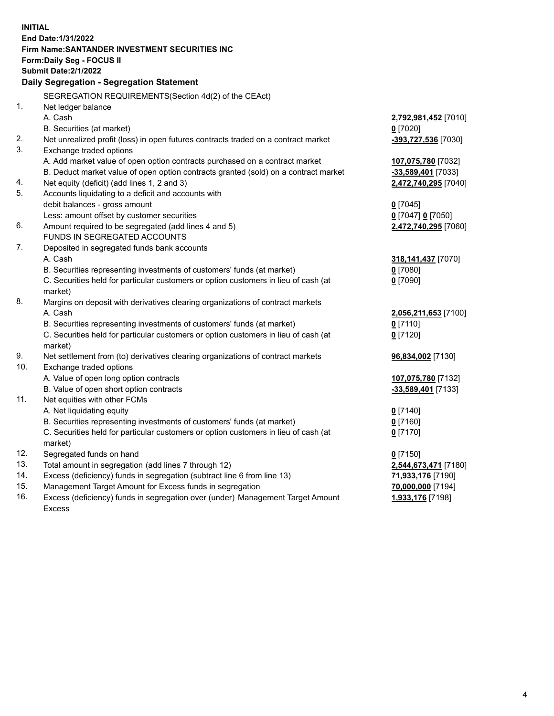| <b>INITIAL</b> |                                                                                     |                      |
|----------------|-------------------------------------------------------------------------------------|----------------------|
|                | End Date: 1/31/2022                                                                 |                      |
|                | Firm Name: SANTANDER INVESTMENT SECURITIES INC                                      |                      |
|                | Form: Daily Seg - FOCUS II                                                          |                      |
|                | <b>Submit Date:2/1/2022</b>                                                         |                      |
|                | Daily Segregation - Segregation Statement                                           |                      |
|                | SEGREGATION REQUIREMENTS(Section 4d(2) of the CEAct)                                |                      |
| 1.             | Net ledger balance                                                                  |                      |
|                | A. Cash                                                                             | 2,792,981,452 [7010] |
|                | B. Securities (at market)                                                           | $0$ [7020]           |
| 2.             | Net unrealized profit (loss) in open futures contracts traded on a contract market  | -393,727,536 [7030]  |
| 3.             | Exchange traded options                                                             |                      |
|                | A. Add market value of open option contracts purchased on a contract market         | 107,075,780 [7032]   |
|                | B. Deduct market value of open option contracts granted (sold) on a contract market | -33,589,401 [7033]   |
| 4.             | Net equity (deficit) (add lines 1, 2 and 3)                                         | 2,472,740,295 [7040] |
| 5.             | Accounts liquidating to a deficit and accounts with                                 |                      |
|                | debit balances - gross amount                                                       | $0$ [7045]           |
|                | Less: amount offset by customer securities                                          | 0 [7047] 0 [7050]    |
| 6.             | Amount required to be segregated (add lines 4 and 5)                                | 2,472,740,295 [7060] |
|                | FUNDS IN SEGREGATED ACCOUNTS                                                        |                      |
| 7.             | Deposited in segregated funds bank accounts                                         |                      |
|                | A. Cash                                                                             | 318, 141, 437 [7070] |
|                | B. Securities representing investments of customers' funds (at market)              | $0$ [7080]           |
|                | C. Securities held for particular customers or option customers in lieu of cash (at | $0$ [7090]           |
|                | market)                                                                             |                      |
| 8.             | Margins on deposit with derivatives clearing organizations of contract markets      |                      |
|                | A. Cash                                                                             | 2,056,211,653 [7100] |
|                | B. Securities representing investments of customers' funds (at market)              | $0$ [7110]           |
|                | C. Securities held for particular customers or option customers in lieu of cash (at | $0$ [7120]           |
|                | market)                                                                             |                      |
| 9.             | Net settlement from (to) derivatives clearing organizations of contract markets     | 96,834,002 [7130]    |
| 10.            | Exchange traded options                                                             |                      |
|                | A. Value of open long option contracts                                              | 107,075,780 [7132]   |
|                | B. Value of open short option contracts                                             | -33,589,401 [7133]   |
| 11.            | Net equities with other FCMs                                                        |                      |
|                | A. Net liquidating equity                                                           | $0$ [7140]           |
|                | B. Securities representing investments of customers' funds (at market)              | $0$ [7160]           |
|                | C. Securities held for particular customers or option customers in lieu of cash (at | $0$ [7170]           |
|                | market)                                                                             |                      |
| 12.            | Segregated funds on hand                                                            | $0$ [7150]           |
| 13.            | Total amount in segregation (add lines 7 through 12)                                | 2,544,673,471 [7180] |
| 14.            | Excess (deficiency) funds in segregation (subtract line 6 from line 13)             | 71,933,176 [7190]    |
| 15.            | Management Target Amount for Excess funds in segregation                            | 70,000,000 [7194]    |
| 16.            | Excess (deficiency) funds in segregation over (under) Management Target Amount      | 1,933,176 [7198]     |
|                | <b>Excess</b>                                                                       |                      |